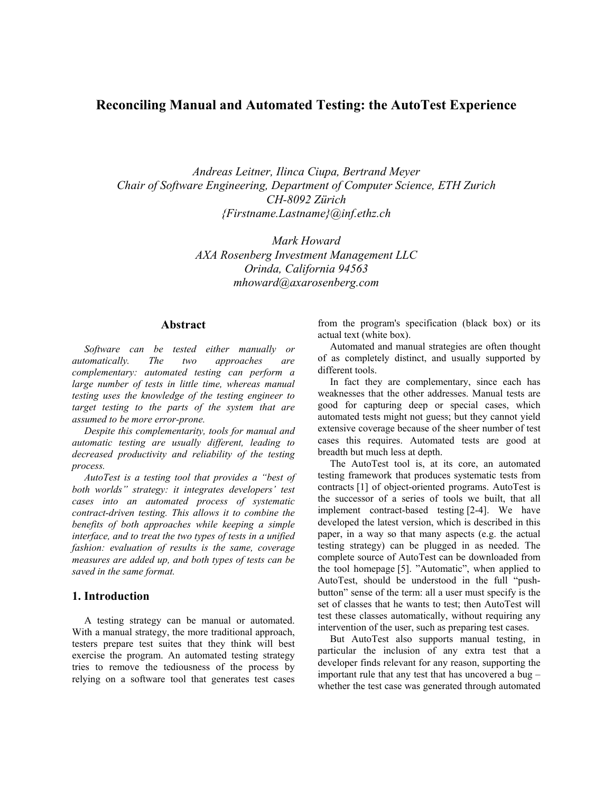# **Reconciling Manual and Automated Testing: the AutoTest Experience**

*Andreas Leitner, Ilinca Ciupa, Bertrand Meyer Chair of Software Engineering, Department of Computer Science, ETH Zurich CH-8092 Zürich {Firstname.Lastname}@inf.ethz.ch* 

> *Mark Howard AXA Rosenberg Investment Management LLC Orinda, California 94563 mhoward@axarosenberg.com*

# **Abstract**

*Software can be tested either manually or automatically. The two approaches are complementary: automated testing can perform a large number of tests in little time, whereas manual testing uses the knowledge of the testing engineer to target testing to the parts of the system that are assumed to be more error-prone.* 

*Despite this complementarity, tools for manual and automatic testing are usually different, leading to decreased productivity and reliability of the testing process.* 

*AutoTest is a testing tool that provides a "best of both worlds" strategy: it integrates developers' test cases into an automated process of systematic contract-driven testing. This allows it to combine the benefits of both approaches while keeping a simple interface, and to treat the two types of tests in a unified fashion: evaluation of results is the same, coverage measures are added up, and both types of tests can be saved in the same format.* 

### **1. Introduction**

A testing strategy can be manual or automated. With a manual strategy, the more traditional approach, testers prepare test suites that they think will best exercise the program. An automated testing strategy tries to remove the tediousness of the process by relying on a software tool that generates test cases from the program's specification (black box) or its actual text (white box).

Automated and manual strategies are often thought of as completely distinct, and usually supported by different tools.

In fact they are complementary, since each has weaknesses that the other addresses. Manual tests are good for capturing deep or special cases, which automated tests might not guess; but they cannot yield extensive coverage because of the sheer number of test cases this requires. Automated tests are good at breadth but much less at depth.

The AutoTest tool is, at its core, an automated testing framework that produces systematic tests from contracts [1] of object-oriented programs. AutoTest is the successor of a series of tools we built, that all implement contract-based testing [2-4]. We have developed the latest version, which is described in this paper, in a way so that many aspects (e.g. the actual testing strategy) can be plugged in as needed. The complete source of AutoTest can be downloaded from the tool homepage [5]. "Automatic", when applied to AutoTest, should be understood in the full "pushbutton" sense of the term: all a user must specify is the set of classes that he wants to test; then AutoTest will test these classes automatically, without requiring any intervention of the user, such as preparing test cases.

But AutoTest also supports manual testing, in particular the inclusion of any extra test that a developer finds relevant for any reason, supporting the important rule that any test that has uncovered a bug – whether the test case was generated through automated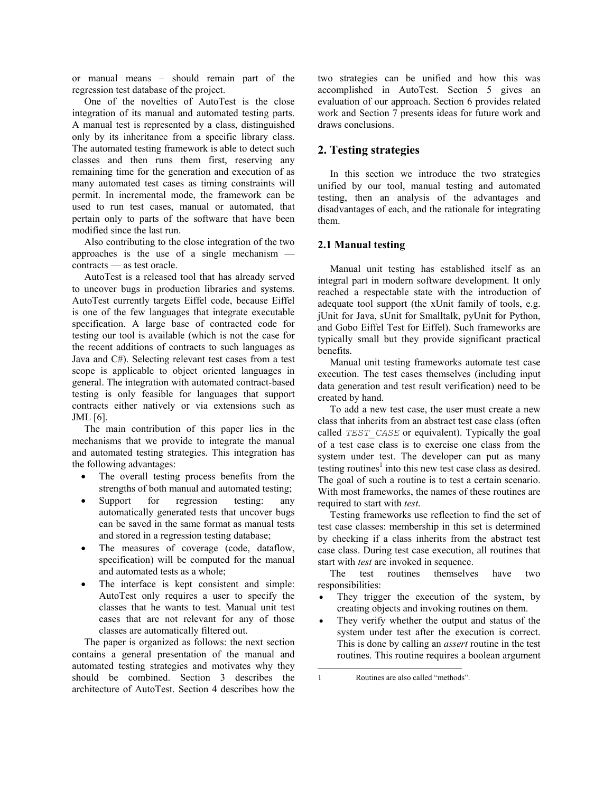or manual means – should remain part of the regression test database of the project.

One of the novelties of AutoTest is the close integration of its manual and automated testing parts. A manual test is represented by a class, distinguished only by its inheritance from a specific library class. The automated testing framework is able to detect such classes and then runs them first, reserving any remaining time for the generation and execution of as many automated test cases as timing constraints will permit. In incremental mode, the framework can be used to run test cases, manual or automated, that pertain only to parts of the software that have been modified since the last run.

Also contributing to the close integration of the two approaches is the use of a single mechanism contracts — as test oracle.

AutoTest is a released tool that has already served to uncover bugs in production libraries and systems. AutoTest currently targets Eiffel code, because Eiffel is one of the few languages that integrate executable specification. A large base of contracted code for testing our tool is available (which is not the case for the recent additions of contracts to such languages as Java and C#). Selecting relevant test cases from a test scope is applicable to object oriented languages in general. The integration with automated contract-based testing is only feasible for languages that support contracts either natively or via extensions such as JML [6].

The main contribution of this paper lies in the mechanisms that we provide to integrate the manual and automated testing strategies. This integration has the following advantages:

- The overall testing process benefits from the strengths of both manual and automated testing;
- Support for regression testing: any automatically generated tests that uncover bugs can be saved in the same format as manual tests and stored in a regression testing database;
- The measures of coverage (code, dataflow, specification) will be computed for the manual and automated tests as a whole;
- The interface is kept consistent and simple: AutoTest only requires a user to specify the classes that he wants to test. Manual unit test cases that are not relevant for any of those classes are automatically filtered out.

The paper is organized as follows: the next section contains a general presentation of the manual and automated testing strategies and motivates why they should be combined. Section 3 describes the architecture of AutoTest. Section 4 describes how the two strategies can be unified and how this was accomplished in AutoTest. Section 5 gives an evaluation of our approach. Section 6 provides related work and Section 7 presents ideas for future work and draws conclusions.

# **2. Testing strategies**

In this section we introduce the two strategies unified by our tool, manual testing and automated testing, then an analysis of the advantages and disadvantages of each, and the rationale for integrating them.

### **2.1 Manual testing**

Manual unit testing has established itself as an integral part in modern software development. It only reached a respectable state with the introduction of adequate tool support (the xUnit family of tools, e.g. jUnit for Java, sUnit for Smalltalk, pyUnit for Python, and Gobo Eiffel Test for Eiffel). Such frameworks are typically small but they provide significant practical benefits.

Manual unit testing frameworks automate test case execution. The test cases themselves (including input data generation and test result verification) need to be created by hand.

To add a new test case, the user must create a new class that inherits from an abstract test case class (often called *TEST\_CASE* or equivalent). Typically the goal of a test case class is to exercise one class from the system under test. The developer can put as many testing routines<sup>1</sup> into this new test case class as desired. The goal of such a routine is to test a certain scenario. With most frameworks, the names of these routines are required to start with *test*.

Testing frameworks use reflection to find the set of test case classes: membership in this set is determined by checking if a class inherits from the abstract test case class. During test case execution, all routines that start with *test* are invoked in sequence.

The test routines themselves have two responsibilities:

- They trigger the execution of the system, by creating objects and invoking routines on them.
- They verify whether the output and status of the system under test after the execution is correct. This is done by calling an *assert* routine in the test routines. This routine requires a boolean argument

-

<sup>1</sup> Routines are also called "methods".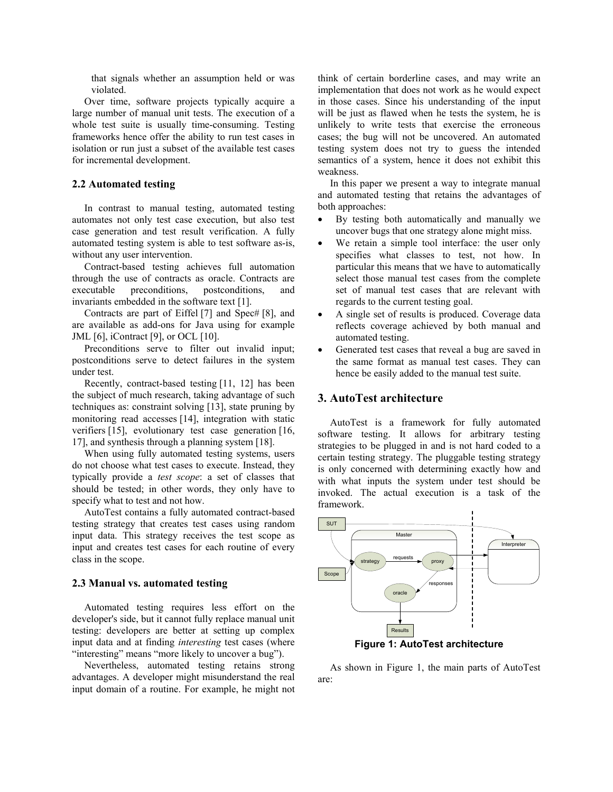that signals whether an assumption held or was violated.

Over time, software projects typically acquire a large number of manual unit tests. The execution of a whole test suite is usually time-consuming. Testing frameworks hence offer the ability to run test cases in isolation or run just a subset of the available test cases for incremental development.

### **2.2 Automated testing**

In contrast to manual testing, automated testing automates not only test case execution, but also test case generation and test result verification. A fully automated testing system is able to test software as-is, without any user intervention.

Contract-based testing achieves full automation through the use of contracts as oracle. Contracts are executable preconditions, postconditions, and invariants embedded in the software text [1].

Contracts are part of Eiffel [7] and Spec# [8], and are available as add-ons for Java using for example JML [6], iContract [9], or OCL [10].

Preconditions serve to filter out invalid input; postconditions serve to detect failures in the system under test.

Recently, contract-based testing [11, 12] has been the subject of much research, taking advantage of such techniques as: constraint solving [13], state pruning by monitoring read accesses [14], integration with static verifiers [15], evolutionary test case generation [16, 17], and synthesis through a planning system [18].

When using fully automated testing systems, users do not choose what test cases to execute. Instead, they typically provide a *test scope*: a set of classes that should be tested; in other words, they only have to specify what to test and not how.

AutoTest contains a fully automated contract-based testing strategy that creates test cases using random input data. This strategy receives the test scope as input and creates test cases for each routine of every class in the scope.

## **2.3 Manual vs. automated testing**

Automated testing requires less effort on the developer's side, but it cannot fully replace manual unit testing: developers are better at setting up complex input data and at finding *interesting* test cases (where "interesting" means "more likely to uncover a bug").

Nevertheless, automated testing retains strong advantages. A developer might misunderstand the real input domain of a routine. For example, he might not think of certain borderline cases, and may write an implementation that does not work as he would expect in those cases. Since his understanding of the input will be just as flawed when he tests the system, he is unlikely to write tests that exercise the erroneous cases; the bug will not be uncovered. An automated testing system does not try to guess the intended semantics of a system, hence it does not exhibit this weakness.

In this paper we present a way to integrate manual and automated testing that retains the advantages of both approaches:

- By testing both automatically and manually we uncover bugs that one strategy alone might miss.
- We retain a simple tool interface: the user only specifies what classes to test, not how. In particular this means that we have to automatically select those manual test cases from the complete set of manual test cases that are relevant with regards to the current testing goal.
- A single set of results is produced. Coverage data reflects coverage achieved by both manual and automated testing.
- Generated test cases that reveal a bug are saved in the same format as manual test cases. They can hence be easily added to the manual test suite.

### **3. AutoTest architecture**

AutoTest is a framework for fully automated software testing. It allows for arbitrary testing strategies to be plugged in and is not hard coded to a certain testing strategy. The pluggable testing strategy is only concerned with determining exactly how and with what inputs the system under test should be invoked. The actual execution is a task of the framework.



As shown in Figure 1, the main parts of AutoTest are: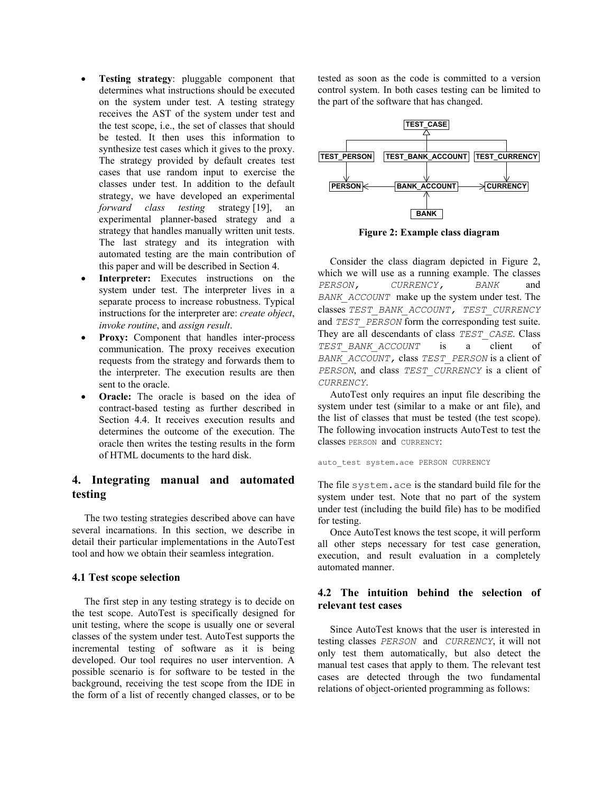- **Testing strategy**: pluggable component that determines what instructions should be executed on the system under test. A testing strategy receives the AST of the system under test and the test scope, i.e., the set of classes that should be tested. It then uses this information to synthesize test cases which it gives to the proxy. The strategy provided by default creates test cases that use random input to exercise the classes under test. In addition to the default strategy, we have developed an experimental *forward class testing* strategy [19], an experimental planner-based strategy and a strategy that handles manually written unit tests. The last strategy and its integration with automated testing are the main contribution of this paper and will be described in Section 4.
- **Interpreter:** Executes instructions on the system under test. The interpreter lives in a separate process to increase robustness. Typical instructions for the interpreter are: *create object*, *invoke routine*, and *assign result*.
- **Proxy:** Component that handles inter-process communication. The proxy receives execution requests from the strategy and forwards them to the interpreter. The execution results are then sent to the oracle.
- **Oracle:** The oracle is based on the idea of contract-based testing as further described in Section 4.4. It receives execution results and determines the outcome of the execution. The oracle then writes the testing results in the form of HTML documents to the hard disk.

# **4. Integrating manual and automated testing**

The two testing strategies described above can have several incarnations. In this section, we describe in detail their particular implementations in the AutoTest tool and how we obtain their seamless integration.

## **4.1 Test scope selection**

The first step in any testing strategy is to decide on the test scope. AutoTest is specifically designed for unit testing, where the scope is usually one or several classes of the system under test. AutoTest supports the incremental testing of software as it is being developed. Our tool requires no user intervention. A possible scenario is for software to be tested in the background, receiving the test scope from the IDE in the form of a list of recently changed classes, or to be

tested as soon as the code is committed to a version control system. In both cases testing can be limited to the part of the software that has changed.



**Figure 2: Example class diagram** 

Consider the class diagram depicted in Figure 2, which we will use as a running example. The classes *PERSON, CURRENCY, BANK* and *BANK\_ACCOUNT* make up the system under test. The classes *TEST\_BANK\_ACCOUNT, TEST\_CURRENCY* and *TEST PERSON* form the corresponding test suite. They are all descendants of class *TEST\_CASE*. Class *TEST\_BANK\_ACCOUNT* is a client of *BANK\_ACCOUNT,* class *TEST\_PERSON* is a client of *PERSON*, and class *TEST\_CURRENCY* is a client of *CURRENCY*.

AutoTest only requires an input file describing the system under test (similar to a make or ant file), and the list of classes that must be tested (the test scope). The following invocation instructs AutoTest to test the classes PERSON and CURRENCY:

#### auto test system.ace PERSON CURRENCY

The file system.ace is the standard build file for the system under test. Note that no part of the system under test (including the build file) has to be modified for testing.

Once AutoTest knows the test scope, it will perform all other steps necessary for test case generation, execution, and result evaluation in a completely automated manner.

# **4.2 The intuition behind the selection of relevant test cases**

Since AutoTest knows that the user is interested in testing classes *PERSON* and *CURRENCY*, it will not only test them automatically, but also detect the manual test cases that apply to them. The relevant test cases are detected through the two fundamental relations of object-oriented programming as follows: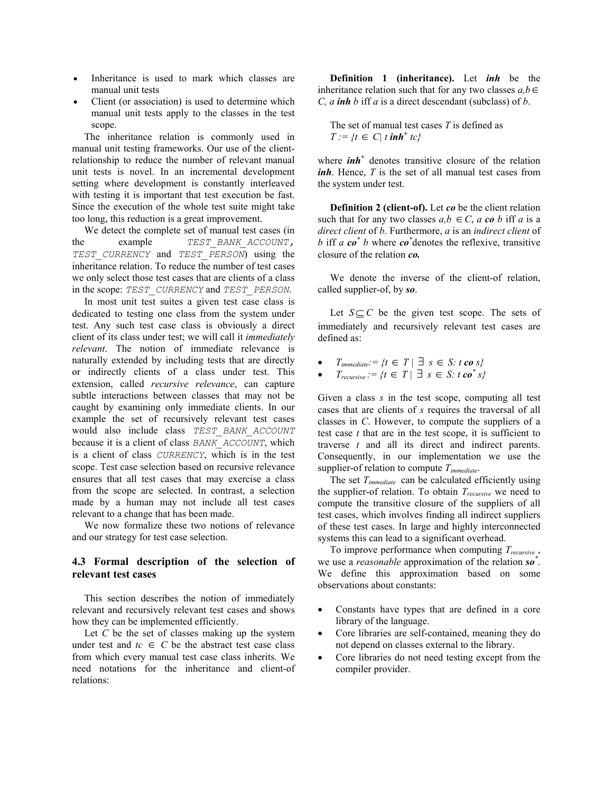- Inheritance is used to mark which classes are manual unit tests
- Client (or association) is used to determine which manual unit tests apply to the classes in the test scope.

The inheritance relation is commonly used in manual unit testing frameworks. Our use of the clientrelationship to reduce the number of relevant manual unit tests is novel. In an incremental development setting where development is constantly interleaved with testing it is important that test execution be fast. Since the execution of the whole test suite might take too long, this reduction is a great improvement.

We detect the complete set of manual test cases (in the example *TEST\_BANK\_ACCOUNT, TEST\_CURRENCY* and *TEST\_PERSON*) using the inheritance relation. To reduce the number of test cases we only select those test cases that are clients of a class in the scope: *TEST\_CURRENCY* and *TEST\_PERSON*.

In most unit test suites a given test case class is dedicated to testing one class from the system under test. Any such test case class is obviously a direct client of its class under test; we will call it *immediately relevant*. The notion of immediate relevance is naturally extended by including tests that are directly or indirectly clients of a class under test. This extension, called *recursive relevance*, can capture subtle interactions between classes that may not be caught by examining only immediate clients. In our example the set of recursively relevant test cases would also include class *TEST\_BANK\_ACCOUNT* because it is a client of class *BANK\_ACCOUNT*, which is a client of class *CURRENCY*, which is in the test scope. Test case selection based on recursive relevance ensures that all test cases that may exercise a class from the scope are selected. In contrast, a selection made by a human may not include all test cases relevant to a change that has been made.

We now formalize these two notions of relevance and our strategy for test case selection.

# **4.3 Formal description of the selection of relevant test cases**

This section describes the notion of immediately relevant and recursively relevant test cases and shows how they can be implemented efficiently.

Let *C* be the set of classes making up the system under test and  $tc \in C$  be the abstract test case class from which every manual test case class inherits. We need notations for the inheritance and client-of relations:

**Definition 1 (inheritance).** Let *inh* be the inheritance relation such that for any two classes *a,b*∈ *C, a inh b* iff *a* is a direct descendant (subclass) of *b*.

The set of manual test cases *T* is defined as  $T := \{ t \in C | t \text{ in } h^+ t c \}$ 

where *inh<sup>+</sup>* denotes transitive closure of the relation *inh*. Hence, *T* is the set of all manual test cases from the system under test.

**Definition 2 (client-of).** Let *co* be the client relation such that for any two classes  $a, b \in C$ ,  $a \text{ co } b$  iff  $a$  is a *direct client* of *b*. Furthermore, *a* is an *indirect client* of *b* iff *a co\* b* where *co\** denotes the reflexive, transitive closure of the relation *co.*

We denote the inverse of the client-of relation, called supplier-of, by *so*.

Let  $S \subseteq C$  be the given test scope. The sets of immediately and recursively relevant test cases are defined as:

- $T_{immediate} := \{ t \in T \mid \exists s \in S : t \text{ co } s \}$
- $T_{recursive} := \{t \in T \mid \exists s \in S : t \textbf{co}^* s\}$

Given a class *s* in the test scope, computing all test cases that are clients of *s* requires the traversal of all classes in *C*. However, to compute the suppliers of a test case *t* that are in the test scope, it is sufficient to traverse *t* and all its direct and indirect parents. Consequently, in our implementation we use the supplier-of relation to compute *Timmediate*.

The set *Timmediate* can be calculated efficiently using the supplier-of relation. To obtain *Trecursive* we need to compute the transitive closure of the suppliers of all test cases, which involves finding all indirect suppliers of these test cases. In large and highly interconnected systems this can lead to a significant overhead.

To improve performance when computing *Trecursive* , we use a *reasonable* approximation of the relation *so\** . We define this approximation based on some observations about constants:

- Constants have types that are defined in a core library of the language.
- Core libraries are self-contained, meaning they do not depend on classes external to the library.
- Core libraries do not need testing except from the compiler provider.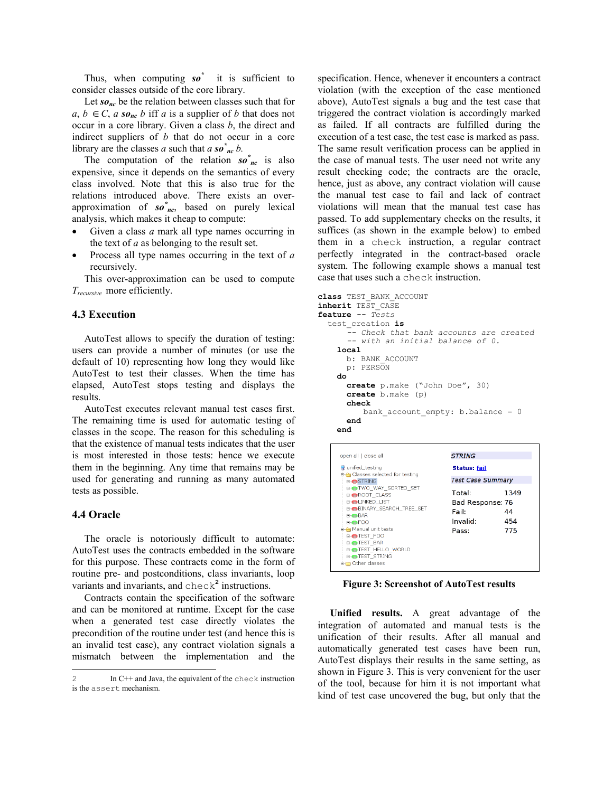Thus, when computing *so\** it is sufficient to consider classes outside of the core library.

Let  $so_{nc}$  be the relation between classes such that for  $a, b \in C$ , *a* so<sub>nc</sub> *b* iff *a* is a supplier of *b* that does not occur in a core library. Given a class *b*, the direct and indirect suppliers of *b* that do not occur in a core library are the classes *a* such that *a*  $so^*_{nc}b$ .

The computation of the relation  $so^*_{nc}$  is also expensive, since it depends on the semantics of every class involved. Note that this is also true for the relations introduced above. There exists an overapproximation of *so\* nc*, based on purely lexical analysis, which makes it cheap to compute:

- Given a class *a* mark all type names occurring in the text of *a* as belonging to the result set.
- Process all type names occurring in the text of *a* recursively.

This over-approximation can be used to compute *Trecursive* more efficiently.

### **4.3 Execution**

AutoTest allows to specify the duration of testing: users can provide a number of minutes (or use the default of 10) representing how long they would like AutoTest to test their classes. When the time has elapsed, AutoTest stops testing and displays the results.

AutoTest executes relevant manual test cases first. The remaining time is used for automatic testing of classes in the scope. The reason for this scheduling is that the existence of manual tests indicates that the user is most interested in those tests: hence we execute them in the beginning. Any time that remains may be used for generating and running as many automated tests as possible.

#### **4.4 Oracle**

-

The oracle is notoriously difficult to automate: AutoTest uses the contracts embedded in the software for this purpose. These contracts come in the form of routine pre- and postconditions, class invariants, loop variants and invariants, and  $\text{check}^2$  instructions.

Contracts contain the specification of the software and can be monitored at runtime. Except for the case when a generated test case directly violates the precondition of the routine under test (and hence this is an invalid test case), any contract violation signals a mismatch between the implementation and the

specification. Hence, whenever it encounters a contract violation (with the exception of the case mentioned above), AutoTest signals a bug and the test case that triggered the contract violation is accordingly marked as failed. If all contracts are fulfilled during the execution of a test case, the test case is marked as pass. The same result verification process can be applied in the case of manual tests. The user need not write any result checking code; the contracts are the oracle, hence, just as above, any contract violation will cause the manual test case to fail and lack of contract violations will mean that the manual test case has passed. To add supplementary checks on the results, it suffices (as shown in the example below) to embed them in a check instruction, a regular contract perfectly integrated in the contract-based oracle system. The following example shows a manual test case that uses such a check instruction.

```
class TEST_BANK_ACCOUNT 
inherit TEST_CASE 
feature -- Tests 
   test_creation is 
        -- Check that bank accounts are created
        -- with an initial balance of 0. 
     local 
       b: BANK_ACCOUNT 
       p: PERSON 
     do 
       create p.make ("John Doe", 30) 
       create b.make (p) 
       check 
          bank account empty: b.balance = 0
       end 
     end
```

| open all   close all                                                              | <b>STRING</b>                                   |      |
|-----------------------------------------------------------------------------------|-------------------------------------------------|------|
| unified_testing                                                                   | <b>Status: fail</b><br><b>Test Case Summary</b> |      |
| <b>E</b> Classes selected for testing<br><b>E-COSTRING</b>                        |                                                 |      |
| <b>E-O TWO WAY SORTED SET</b><br><b>E-ROOT CLASS</b>                              | Total:                                          | 1349 |
| <b>E-OLINKED LIST</b>                                                             | Bad Response: 76                                |      |
| <b>BINARY SEARCH TREE SET</b><br><b>E-BAR</b>                                     | Fail:                                           | 44   |
| <b>E</b> CFOO                                                                     | Invalid:                                        | 454  |
| Manual unit tests<br><b>E</b> TEST FOO<br><b>E-C</b> TEST BAR<br>TEST HELLO WORLD | Pass:                                           | 775  |
| <b>E-OTEST STRING</b><br>Other classes                                            |                                                 |      |

**Figure 3: Screenshot of AutoTest results** 

**Unified results.** A great advantage of the integration of automated and manual tests is the unification of their results. After all manual and automatically generated test cases have been run, AutoTest displays their results in the same setting, as shown in Figure 3. This is very convenient for the user of the tool, because for him it is not important what kind of test case uncovered the bug, but only that the

<sup>2</sup> In C++ and Java, the equivalent of the check instruction is the assert mechanism.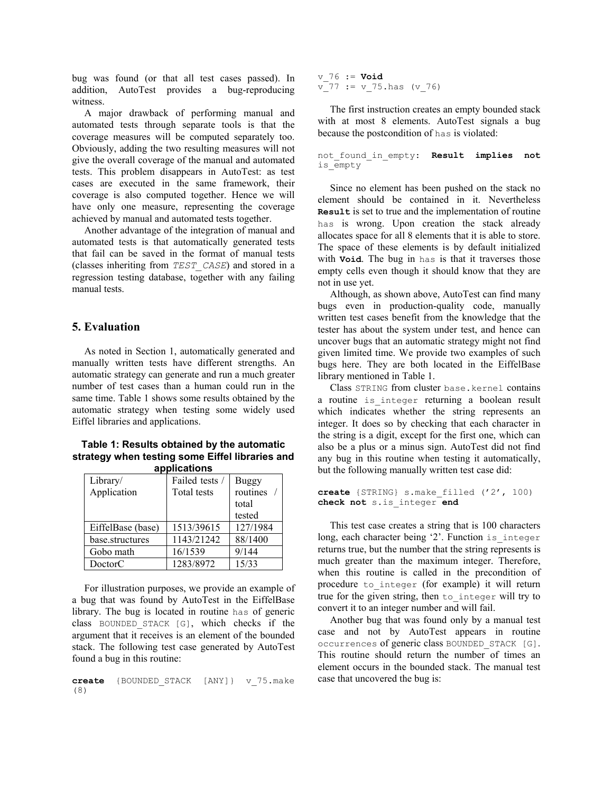bug was found (or that all test cases passed). In addition, AutoTest provides a bug-reproducing witness.

A major drawback of performing manual and automated tests through separate tools is that the coverage measures will be computed separately too. Obviously, adding the two resulting measures will not give the overall coverage of the manual and automated tests. This problem disappears in AutoTest: as test cases are executed in the same framework, their coverage is also computed together. Hence we will have only one measure, representing the coverage achieved by manual and automated tests together.

Another advantage of the integration of manual and automated tests is that automatically generated tests that fail can be saved in the format of manual tests (classes inheriting from *TEST\_CASE*) and stored in a regression testing database, together with any failing manual tests.

# **5. Evaluation**

As noted in Section 1, automatically generated and manually written tests have different strengths. An automatic strategy can generate and run a much greater number of test cases than a human could run in the same time. Table 1 shows some results obtained by the automatic strategy when testing some widely used Eiffel libraries and applications.

**Table 1: Results obtained by the automatic strategy when testing some Eiffel libraries and applications** 

| <u>uppnouuvno</u> |                |              |  |
|-------------------|----------------|--------------|--|
| Library/          | Failed tests / | <b>Buggy</b> |  |
| Application       | Total tests    | routines     |  |
|                   |                | total        |  |
|                   |                | tested       |  |
| EiffelBase (base) | 1513/39615     | 127/1984     |  |
| base.structures   | 1143/21242     | 88/1400      |  |
| Gobo math         | 16/1539        | 9/144        |  |
| DoctorC           | 1283/8972      | 15/33        |  |

For illustration purposes, we provide an example of a bug that was found by AutoTest in the EiffelBase library. The bug is located in routine has of generic class BOUNDED\_STACK [G], which checks if the argument that it receives is an element of the bounded stack. The following test case generated by AutoTest found a bug in this routine:

create {BOUNDED\_STACK [ANY]} v 75.make (8)

v\_76 := **Void**  $v^{-77}$  := v 75.has (v 76)

The first instruction creates an empty bounded stack with at most 8 elements. AutoTest signals a bug because the postcondition of has is violated:

not\_found\_in\_empty: **Result implies not**  is\_empty

Since no element has been pushed on the stack no element should be contained in it. Nevertheless **Result** is set to true and the implementation of routine has is wrong. Upon creation the stack already allocates space for all 8 elements that it is able to store. The space of these elements is by default initialized with **Void**. The bug in has is that it traverses those empty cells even though it should know that they are not in use yet.

Although, as shown above, AutoTest can find many bugs even in production-quality code, manually written test cases benefit from the knowledge that the tester has about the system under test, and hence can uncover bugs that an automatic strategy might not find given limited time. We provide two examples of such bugs here. They are both located in the EiffelBase library mentioned in Table 1.

Class STRING from cluster base.kernel contains a routine is integer returning a boolean result which indicates whether the string represents an integer. It does so by checking that each character in the string is a digit, except for the first one, which can also be a plus or a minus sign. AutoTest did not find any bug in this routine when testing it automatically, but the following manually written test case did:

```
create {STRING} s.make_filled ('2', 100) 
check not s.is_integer end
```
This test case creates a string that is 100 characters long, each character being '2'. Function is\_integer returns true, but the number that the string represents is much greater than the maximum integer. Therefore, when this routine is called in the precondition of procedure to\_integer (for example) it will return true for the given string, then to\_integer will try to convert it to an integer number and will fail.

Another bug that was found only by a manual test case and not by AutoTest appears in routine occurrences of generic class BOUNDED\_STACK [G]. This routine should return the number of times an element occurs in the bounded stack. The manual test case that uncovered the bug is: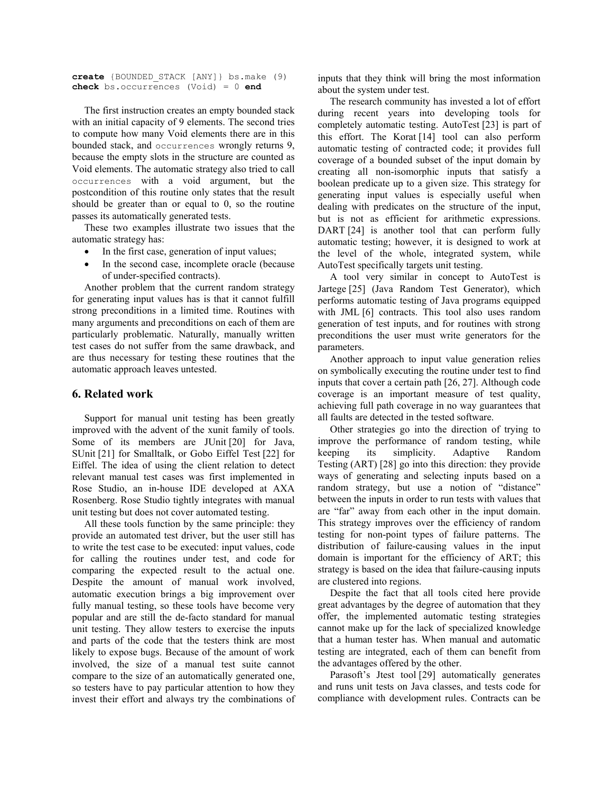**create** {BOUNDED\_STACK [ANY]} bs.make (9) **check** bs.occurrences (Void) = 0 **end**

The first instruction creates an empty bounded stack with an initial capacity of 9 elements. The second tries to compute how many Void elements there are in this bounded stack, and occurrences wrongly returns 9, because the empty slots in the structure are counted as Void elements. The automatic strategy also tried to call occurrences with a void argument, but the postcondition of this routine only states that the result should be greater than or equal to 0, so the routine passes its automatically generated tests.

These two examples illustrate two issues that the automatic strategy has:

- In the first case, generation of input values;
- In the second case, incomplete oracle (because of under-specified contracts).

Another problem that the current random strategy for generating input values has is that it cannot fulfill strong preconditions in a limited time. Routines with many arguments and preconditions on each of them are particularly problematic. Naturally, manually written test cases do not suffer from the same drawback, and are thus necessary for testing these routines that the automatic approach leaves untested.

### **6. Related work**

Support for manual unit testing has been greatly improved with the advent of the xunit family of tools. Some of its members are JUnit [20] for Java, SUnit [21] for Smalltalk, or Gobo Eiffel Test [22] for Eiffel. The idea of using the client relation to detect relevant manual test cases was first implemented in Rose Studio, an in-house IDE developed at AXA Rosenberg. Rose Studio tightly integrates with manual unit testing but does not cover automated testing.

All these tools function by the same principle: they provide an automated test driver, but the user still has to write the test case to be executed: input values, code for calling the routines under test, and code for comparing the expected result to the actual one. Despite the amount of manual work involved, automatic execution brings a big improvement over fully manual testing, so these tools have become very popular and are still the de-facto standard for manual unit testing. They allow testers to exercise the inputs and parts of the code that the testers think are most likely to expose bugs. Because of the amount of work involved, the size of a manual test suite cannot compare to the size of an automatically generated one, so testers have to pay particular attention to how they invest their effort and always try the combinations of inputs that they think will bring the most information about the system under test.

The research community has invested a lot of effort during recent years into developing tools for completely automatic testing. AutoTest [23] is part of this effort. The Korat [14] tool can also perform automatic testing of contracted code; it provides full coverage of a bounded subset of the input domain by creating all non-isomorphic inputs that satisfy a boolean predicate up to a given size. This strategy for generating input values is especially useful when dealing with predicates on the structure of the input, but is not as efficient for arithmetic expressions. DART [24] is another tool that can perform fully automatic testing; however, it is designed to work at the level of the whole, integrated system, while AutoTest specifically targets unit testing.

A tool very similar in concept to AutoTest is Jartege [25] (Java Random Test Generator), which performs automatic testing of Java programs equipped with JML [6] contracts. This tool also uses random generation of test inputs, and for routines with strong preconditions the user must write generators for the parameters.

Another approach to input value generation relies on symbolically executing the routine under test to find inputs that cover a certain path [26, 27]. Although code coverage is an important measure of test quality, achieving full path coverage in no way guarantees that all faults are detected in the tested software.

Other strategies go into the direction of trying to improve the performance of random testing, while keeping its simplicity. Adaptive Random Testing (ART) [28] go into this direction: they provide ways of generating and selecting inputs based on a random strategy, but use a notion of "distance" between the inputs in order to run tests with values that are "far" away from each other in the input domain. This strategy improves over the efficiency of random testing for non-point types of failure patterns. The distribution of failure-causing values in the input domain is important for the efficiency of ART; this strategy is based on the idea that failure-causing inputs are clustered into regions.

Despite the fact that all tools cited here provide great advantages by the degree of automation that they offer, the implemented automatic testing strategies cannot make up for the lack of specialized knowledge that a human tester has. When manual and automatic testing are integrated, each of them can benefit from the advantages offered by the other.

Parasoft's Jtest tool [29] automatically generates and runs unit tests on Java classes, and tests code for compliance with development rules. Contracts can be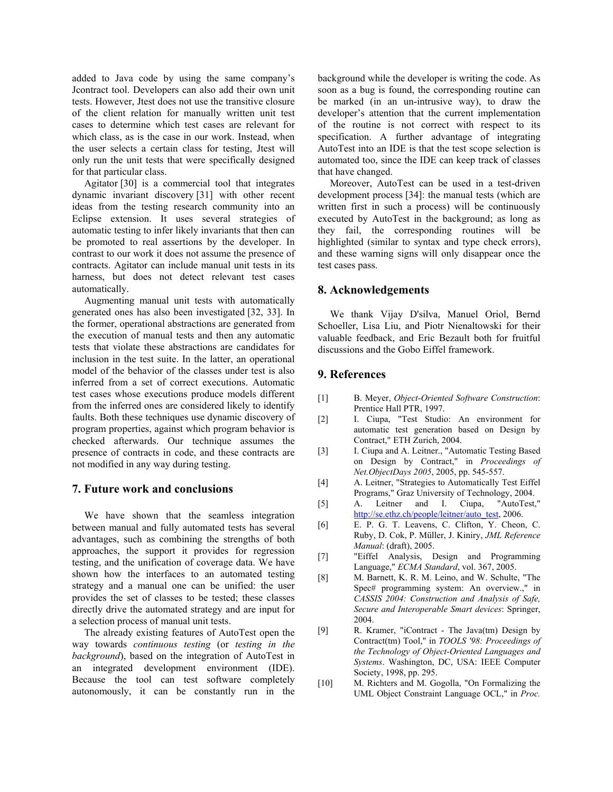added to Java code by using the same company's Jcontract tool. Developers can also add their own unit tests. However, Jtest does not use the transitive closure of the client relation for manually written unit test cases to determine which test cases are relevant for which class, as is the case in our work. Instead, when the user selects a certain class for testing, Jtest will only run the unit tests that were specifically designed for that particular class.

Agitator [30] is a commercial tool that integrates dynamic invariant discovery [31] with other recent ideas from the testing research community into an Eclipse extension. It uses several strategies of automatic testing to infer likely invariants that then can be promoted to real assertions by the developer. In contrast to our work it does not assume the presence of contracts. Agitator can include manual unit tests in its harness, but does not detect relevant test cases automatically.

Augmenting manual unit tests with automatically generated ones has also been investigated [32, 33]. In the former, operational abstractions are generated from the execution of manual tests and then any automatic tests that violate these abstractions are candidates for inclusion in the test suite. In the latter, an operational model of the behavior of the classes under test is also inferred from a set of correct executions. Automatic test cases whose executions produce models different from the inferred ones are considered likely to identify faults. Both these techniques use dynamic discovery of program properties, against which program behavior is checked afterwards. Our technique assumes the presence of contracts in code, and these contracts are not modified in any way during testing.

# **7. Future work and conclusions**

We have shown that the seamless integration between manual and fully automated tests has several advantages, such as combining the strengths of both approaches, the support it provides for regression testing, and the unification of coverage data. We have shown how the interfaces to an automated testing strategy and a manual one can be unified: the user provides the set of classes to be tested; these classes directly drive the automated strategy and are input for a selection process of manual unit tests.

The already existing features of AutoTest open the way towards *continuous testing* (or *testing in the background*), based on the integration of AutoTest in an integrated development environment (IDE). Because the tool can test software completely autonomously, it can be constantly run in the background while the developer is writing the code. As soon as a bug is found, the corresponding routine can be marked (in an un-intrusive way), to draw the developer's attention that the current implementation of the routine is not correct with respect to its specification. A further advantage of integrating AutoTest into an IDE is that the test scope selection is automated too, since the IDE can keep track of classes that have changed.

Moreover, AutoTest can be used in a test-driven development process [34]: the manual tests (which are written first in such a process) will be continuously executed by AutoTest in the background; as long as they fail, the corresponding routines will be highlighted (similar to syntax and type check errors), and these warning signs will only disappear once the test cases pass.

### **8. Acknowledgements**

We thank Vijay D'silva, Manuel Oriol, Bernd Schoeller, Lisa Liu, and Piotr Nienaltowski for their valuable feedback, and Eric Bezault both for fruitful discussions and the Gobo Eiffel framework.

# **9. References**

- [1] B. Meyer, *Object-Oriented Software Construction*: Prentice Hall PTR, 1997.
- [2] I. Ciupa, "Test Studio: An environment for automatic test generation based on Design by Contract," ETH Zurich, 2004.
- [3] I. Ciupa and A. Leitner., "Automatic Testing Based on Design by Contract," in *Proceedings of Net.ObjectDays 2005*, 2005, pp. 545-557.
- [4] A. Leitner, "Strategies to Automatically Test Eiffel Programs," Graz University of Technology, 2004.
- [5] A. Leitner and I. Ciupa, "AutoTest," http://se.ethz.ch/people/leitner/auto\_test, 2006.
- [6] E. P. G. T. Leavens, C. Clifton, Y. Cheon, C. Ruby, D. Cok, P. Müller, J. Kiniry, *JML Reference Manual*: (draft), 2005.
- [7] "Eiffel Analysis, Design and Programming Language," *ECMA Standard*, vol. 367, 2005.
- [8] M. Barnett, K. R. M. Leino, and W. Schulte, "The Spec# programming system: An overview.," in *CASSIS 2004: Construction and Analysis of Safe, Secure and Interoperable Smart devices*: Springer, 2004.
- [9] R. Kramer, "iContract The Java(tm) Design by Contract(tm) Tool," in *TOOLS '98: Proceedings of the Technology of Object-Oriented Languages and Systems*. Washington, DC, USA: IEEE Computer Society, 1998, pp. 295.
- [10] M. Richters and M. Gogolla, "On Formalizing the UML Object Constraint Language OCL," in *Proc.*